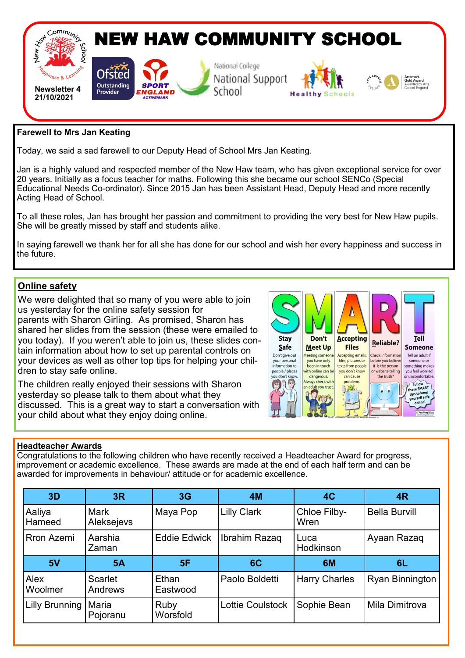

## **Farewell to Mrs Jan Keating**

Today, we said a sad farewell to our Deputy Head of School Mrs Jan Keating.

Jan is a highly valued and respected member of the New Haw team, who has given exceptional service for over 20 years. Initially as a focus teacher for maths. Following this she became our school SENCo (Special Educational Needs Co-ordinator). Since 2015 Jan has been Assistant Head, Deputy Head and more recently Acting Head of School.

To all these roles, Jan has brought her passion and commitment to providing the very best for New Haw pupils. She will be greatly missed by staff and students alike.

In saying farewell we thank her for all she has done for our school and wish her every happiness and success in the future.

# **Online safety**

We were delighted that so many of you were able to join us yesterday for the online safety session for parents with Sharon Girling. As promised, Sharon has shared her slides from the session (these were emailed to you today). If you weren't able to join us, these slides contain information about how to set up parental controls on your devices as well as other top tips for helping your children to stay safe online.

The children really enjoyed their sessions with Sharon yesterday so please talk to them about what they discussed. This is a great way to start a conversation with your child about what they enjoy doing online.



#### **Headteacher Awards**

Congratulations to the following children who have recently received a Headteacher Award for progress, improvement or academic excellence. These awards are made at the end of each half term and can be awarded for improvements in behaviour/ attitude or for academic excellence.

| 3D                    | 3R                        | 3G                  | <b>4M</b>               | 4C                   | 4 <sub>R</sub>       |
|-----------------------|---------------------------|---------------------|-------------------------|----------------------|----------------------|
| Aaliya<br>Hameed      | <b>Mark</b><br>Aleksejevs | Maya Pop            | <b>Lilly Clark</b>      | Chloe Filby-<br>Wren | <b>Bella Burvill</b> |
| <b>Rron Azemi</b>     | Aarshia<br>Zaman          | <b>Eddie Edwick</b> | Ibrahim Razaq           | Luca<br>Hodkinson    | Ayaan Razaq          |
| 5V                    | 5A                        | 5F                  | 6C                      | 6M                   | 6L                   |
| Alex<br>Woolmer       | Scarlet<br>Andrews        | Ethan<br>Eastwood   | Paolo Boldetti          | <b>Harry Charles</b> | Ryan Binnington      |
| <b>Lilly Brunning</b> | Maria<br>Pojoranu         | Ruby<br>Worsfold    | <b>Lottie Coulstock</b> | Sophie Bean          | Mila Dimitrova       |